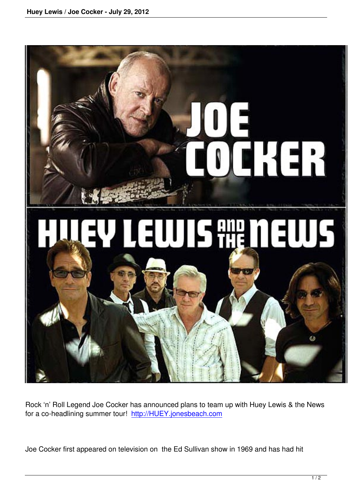

Rock 'n' Roll Legend Joe Cocker has announced plans to team up with Huey Lewis & the News for a co-headlining summer tour! http://HUEY.jonesbeach.com

Joe Cocker first appeared on tele[vision on the Ed Sullivan sho](http://HUEY.jonesbeach.com)w in 1969 and has had hit